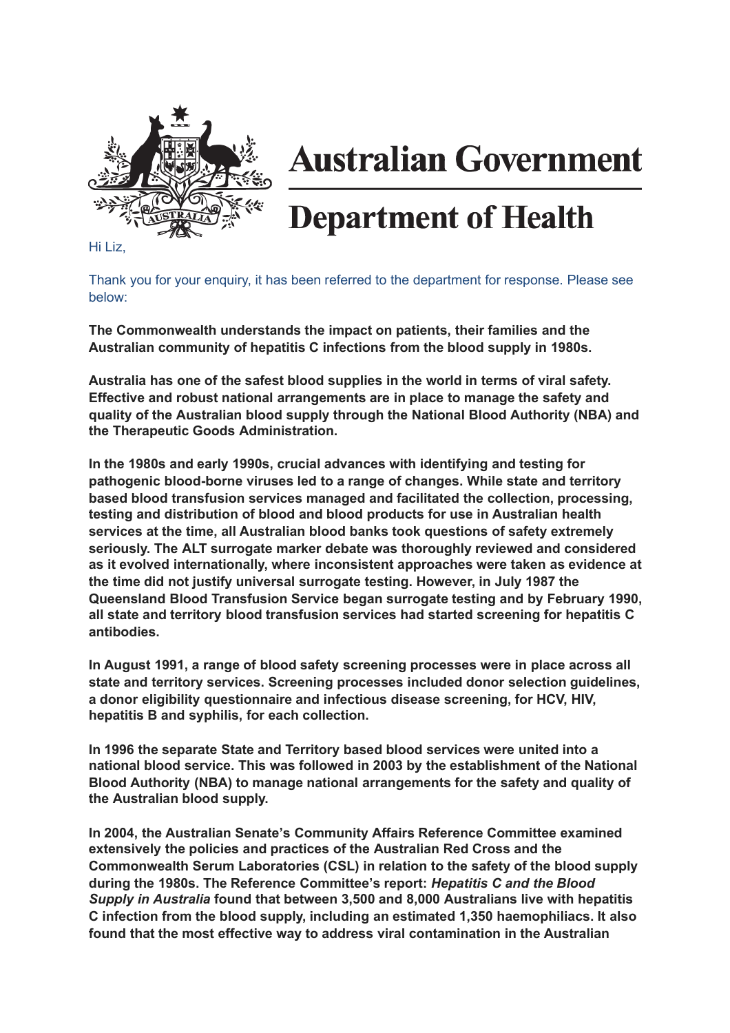

## **Australian Government**

## **Department of Health**

Hi Liz,

Thank you for your enquiry, it has been referred to the department for response. Please see below:

**The Commonwealth understands the impact on patients, their families and the Australian community of hepatitis C infections from the blood supply in 1980s.**

**Australia has one of the safest blood supplies in the world in terms of viral safety. Effective and robust national arrangements are in place to manage the safety and quality of the Australian blood supply through the National Blood Authority (NBA) and the Therapeutic Goods Administration.**

**In the 1980s and early 1990s, crucial advances with identifying and testing for pathogenic blood-borne viruses led to a range of changes. While state and territory based blood transfusion services managed and facilitated the collection, processing, testing and distribution of blood and blood products for use in Australian health services at the time, all Australian blood banks took questions of safety extremely seriously. The ALT surrogate marker debate was thoroughly reviewed and considered as it evolved internationally, where inconsistent approaches were taken as evidence at the time did not justify universal surrogate testing. However, in July 1987 the Queensland Blood Transfusion Service began surrogate testing and by February 1990, all state and territory blood transfusion services had started screening for hepatitis C antibodies.**

**In August 1991, a range of blood safety screening processes were in place across all state and territory services. Screening processes included donor selection guidelines, a donor eligibility questionnaire and infectious disease screening, for HCV, HIV, hepatitis B and syphilis, for each collection.**

**In 1996 the separate State and Territory based blood services were united into a national blood service. This was followed in 2003 by the establishment of the National Blood Authority (NBA) to manage national arrangements for the safety and quality of the Australian blood supply.**

**In 2004, the Australian Senate's Community Affairs Reference Committee examined extensively the policies and practices of the Australian Red Cross and the Commonwealth Serum Laboratories (CSL) in relation to the safety of the blood supply during the 1980s. The Reference Committee's report:** *Hepatitis C and the Blood Supply in Australia* **found that between 3,500 and 8,000 Australians live with hepatitis C infection from the blood supply, including an estimated 1,350 haemophiliacs. It also found that the most effective way to address viral contamination in the Australian**